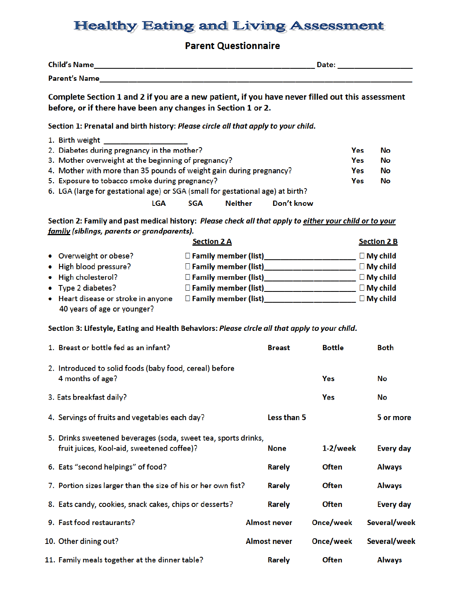## **Healthy Eating and Living Assessment**

## **Parent Questionnaire**

| <b>Child's Name</b>  | Date: |
|----------------------|-------|
| <b>Parent's Name</b> |       |

Complete Section 1 and 2 if you are a new patient, if you have never filled out this assessment before, or if there have been any changes in Section 1 or 2.

Section 1: Prenatal and birth history: Please circle all that apply to your child.

|                                                                                 | 1. Birth weight                                                     |     |           |
|---------------------------------------------------------------------------------|---------------------------------------------------------------------|-----|-----------|
|                                                                                 | 2. Diabetes during pregnancy in the mother?                         | Yes | No        |
|                                                                                 | 3. Mother overweight at the beginning of pregnancy?                 | Yes | No.       |
|                                                                                 | 4. Mother with more than 35 pounds of weight gain during pregnancy? | Yes | No.       |
|                                                                                 | 5. Exposure to tobacco smoke during pregnancy?                      | Yes | <b>No</b> |
| 6. LGA (large for gestational age) or SGA (small for gestational age) at birth? |                                                                     |     |           |
|                                                                                 | Neither<br>Don't know<br>SGA<br>LGA                                 |     |           |

Section 2: Family and past medical history: Please check all that apply to either your child or to your family (siblings, parents or grandparents).

|                                                                    | <b>Section 2 B</b>          |                 |
|--------------------------------------------------------------------|-----------------------------|-----------------|
| • Overweight or obese?                                             | $\Box$ Family member (list) | $\Box$ My child |
| • High blood pressure?                                             | $\Box$ Family member (list) | $\Box$ My child |
| • High cholesterol?                                                | □ Family member (list)      | $\Box$ My child |
| • Type 2 diabetes?                                                 | $\Box$ Family member (list) | $\Box$ My child |
| • Heart disease or stroke in anyone<br>40 years of age or younger? | $\Box$ Family member (list) | $\Box$ My child |

Section 3: Lifestyle, Eating and Health Behaviors: Please circle all that apply to your child.

| 1. Breast or bottle fed as an infant?                                                                        | <b>Breast</b>       | <b>Bottle</b> | Both             |
|--------------------------------------------------------------------------------------------------------------|---------------------|---------------|------------------|
| 2. Introduced to solid foods (baby food, cereal) before<br>4 months of age?                                  |                     | Yes           | No               |
| 3. Eats breakfast daily?                                                                                     |                     | Yes           | No               |
| 4. Servings of fruits and vegetables each day?                                                               | Less than 5         |               | 5 or more        |
| 5. Drinks sweetened beverages (soda, sweet tea, sports drinks,<br>fruit juices, Kool-aid, sweetened coffee)? | <b>None</b>         | $1-2$ /week   | <b>Every day</b> |
| 6. Eats "second helpings" of food?                                                                           | <b>Rarely</b>       | <b>Often</b>  | <b>Always</b>    |
| 7. Portion sizes larger than the size of his or her own fist?                                                | Rarely              | <b>Often</b>  | <b>Always</b>    |
| 8. Eats candy, cookies, snack cakes, chips or desserts?                                                      | <b>Rarely</b>       | <b>Often</b>  | <b>Every day</b> |
| 9. Fast food restaurants?                                                                                    | <b>Almost never</b> | Once/week     | Several/week     |
| 10. Other dining out?                                                                                        | <b>Almost never</b> | Once/week     | Several/week     |
| 11. Family meals together at the dinner table?                                                               | <b>Rarely</b>       | <b>Often</b>  | <b>Always</b>    |